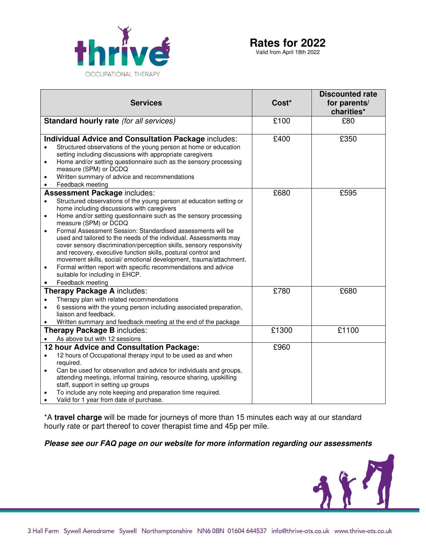

Valid from April 18th 2022

|                                                                                                                                                                                                                                                                                                                                                             |                   | <b>Discounted rate</b>     |
|-------------------------------------------------------------------------------------------------------------------------------------------------------------------------------------------------------------------------------------------------------------------------------------------------------------------------------------------------------------|-------------------|----------------------------|
| <b>Services</b>                                                                                                                                                                                                                                                                                                                                             | Cost <sup>*</sup> | for parents/<br>charities* |
| Standard hourly rate (for all services)                                                                                                                                                                                                                                                                                                                     | £100              | £80                        |
| <b>Individual Advice and Consultation Package includes:</b>                                                                                                                                                                                                                                                                                                 | £400              | £350                       |
| Structured observations of the young person at home or education<br>$\bullet$<br>setting including discussions with appropriate caregivers<br>Home and/or setting questionnaire such as the sensory processing<br>$\bullet$                                                                                                                                 |                   |                            |
| measure (SPM) or DCDQ                                                                                                                                                                                                                                                                                                                                       |                   |                            |
| Written summary of advice and recommendations<br>$\bullet$<br>Feedback meeting<br>$\bullet$                                                                                                                                                                                                                                                                 |                   |                            |
| <b>Assessment Package includes:</b>                                                                                                                                                                                                                                                                                                                         | £680              | £595                       |
| Structured observations of the young person at education setting or<br>$\bullet$<br>home including discussions with caregivers                                                                                                                                                                                                                              |                   |                            |
| Home and/or setting questionnaire such as the sensory processing<br>$\bullet$<br>measure (SPM) or DCDQ                                                                                                                                                                                                                                                      |                   |                            |
| Formal Assessment Session: Standardised assessments will be<br>$\bullet$<br>used and tailored to the needs of the individual. Assessments may<br>cover sensory discrimination/perception skills, sensory responsivity<br>and recovery, executive function skills, postural control and<br>movement skills, social/emotional development, trauma/attachment. |                   |                            |
| Formal written report with specific recommendations and advice<br>$\bullet$<br>suitable for including in EHCP.                                                                                                                                                                                                                                              |                   |                            |
| Feedback meeting                                                                                                                                                                                                                                                                                                                                            |                   |                            |
| <b>Therapy Package A includes:</b>                                                                                                                                                                                                                                                                                                                          | £780              | £680                       |
| Therapy plan with related recommendations<br>$\bullet$                                                                                                                                                                                                                                                                                                      |                   |                            |
| 6 sessions with the young person including associated preparation,<br>liaison and feedback.                                                                                                                                                                                                                                                                 |                   |                            |
| Written summary and feedback meeting at the end of the package                                                                                                                                                                                                                                                                                              |                   |                            |
| <b>Therapy Package B includes:</b>                                                                                                                                                                                                                                                                                                                          | £1300             | £1100                      |
| As above but with 12 sessions                                                                                                                                                                                                                                                                                                                               |                   |                            |
| 12 hour Advice and Consultation Package:                                                                                                                                                                                                                                                                                                                    | £960              |                            |
| 12 hours of Occupational therapy input to be used as and when<br>$\bullet$<br>required.                                                                                                                                                                                                                                                                     |                   |                            |
| Can be used for observation and advice for individuals and groups,<br>$\bullet$                                                                                                                                                                                                                                                                             |                   |                            |
| attending meetings, informal training, resource sharing, upskilling<br>staff, support in setting up groups                                                                                                                                                                                                                                                  |                   |                            |
| To include any note keeping and preparation time required.<br>$\bullet$                                                                                                                                                                                                                                                                                     |                   |                            |
| Valid for 1 year from date of purchase.                                                                                                                                                                                                                                                                                                                     |                   |                            |

\*A **travel charge** will be made for journeys of more than 15 minutes each way at our standard hourly rate or part thereof to cover therapist time and 45p per mile.

**Please see our FAQ page on our website for more information regarding our assessments** 

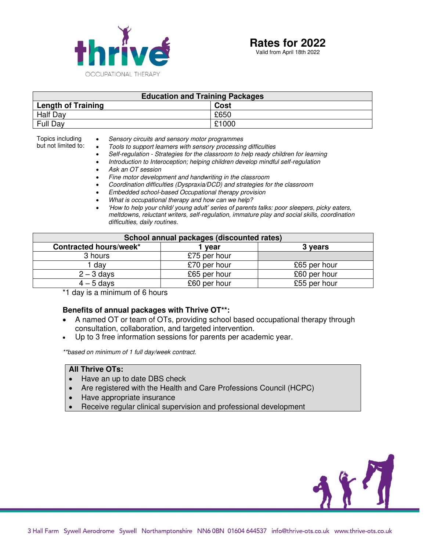

Valid from April 18th 2022

| <b>Education and Training Packages</b> |       |  |
|----------------------------------------|-------|--|
| <b>Length of Training</b>              | Cost  |  |
| <b>Half Day</b>                        | £650  |  |
| <b>Full Dav</b>                        | £1000 |  |

but not limited to: Sensory circuits and sensory motor programmes

- 
- Tools to support learners with sensory processing difficulties<br>• Self-regulation Strategies for the classroom to help ready cl • Self-regulation - Strategies for the classroom to help ready children for learning
- Introduction to Interoception; helping children develop mindful self-regulation
- Ask an OT session

Topics including

- Fine motor development and handwriting in the classroom
- Coordination difficulties (Dyspraxia/DCD) and strategies for the classroom
- Embedded school-based Occupational therapy provision
- What is occupational therapy and how can we help?
- *'How to help your child/ young adult' series of parents talks: poor* sleepers, picky eaters, meltdowns, reluctant writers, self-regulation, immature play and social skills, coordination difficulties, daily routines.

| School annual packages (discounted rates) |              |              |  |
|-------------------------------------------|--------------|--------------|--|
| Contracted hours/week*                    | vear         | 3 years      |  |
| 3 hours                                   | £75 per hour |              |  |
| I day                                     | £70 per hour | £65 per hour |  |
| $2 - 3$ days                              | £65 per hour | £60 per hour |  |
| $4 - 5$ days                              | £60 per hour | £55 per hour |  |

\*1 day is a minimum of 6 hours

#### **Benefits of annual packages with Thrive OT\*\*:**

- A named OT or team of OTs, providing school based occupational therapy through consultation, collaboration, and targeted intervention.
- Up to 3 free information sessions for parents per academic year.

\*\*based on minimum of 1 full day/week contract.

#### **All Thrive OTs:**

- Have an up to date DBS check
- Are registered with the Health and Care Professions Council (HCPC)
- Have appropriate insurance
- Receive regular clinical supervision and professional development

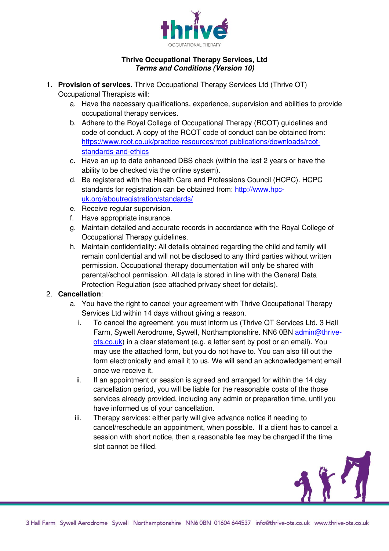

# **Thrive Occupational Therapy Services, Ltd Terms and Conditions (Version 10)**

- 1. **Provision of services**. Thrive Occupational Therapy Services Ltd (Thrive OT) Occupational Therapists will:
	- a. Have the necessary qualifications, experience, supervision and abilities to provide occupational therapy services.
	- b. Adhere to the Royal College of Occupational Therapy (RCOT) guidelines and code of conduct. A copy of the RCOT code of conduct can be obtained from: https://www.rcot.co.uk/practice-resources/rcot-publications/downloads/rcotstandards-and-ethics
	- c. Have an up to date enhanced DBS check (within the last 2 years or have the ability to be checked via the online system).
	- d. Be registered with the Health Care and Professions Council (HCPC). HCPC standards for registration can be obtained from: [http://www.hpc](http://www.hpc-uk.org/aboutregistration/standards/)[uk.org/aboutregistration/standards/](http://www.hpc-uk.org/aboutregistration/standards/)
	- e. Receive regular supervision.
	- f. Have appropriate insurance.
	- g. Maintain detailed and accurate records in accordance with the Royal College of Occupational Therapy guidelines.
	- h. Maintain confidentiality: All details obtained regarding the child and family will remain confidential and will not be disclosed to any third parties without written permission. Occupational therapy documentation will only be shared with parental/school permission. All data is stored in line with the General Data Protection Regulation (see attached privacy sheet for details).

# 2. **Cancellation**:

- a. You have the right to cancel your agreement with Thrive Occupational Therapy Services Ltd within 14 days without giving a reason.
	- i. To cancel the agreement, you must inform us (Thrive OT Services Ltd. 3 Hall Farm, Sywell Aerodrome, Sywell, Northamptonshire. NN6 0BN [admin@thrive](mailto:admin@thrive-ots.co)[ots.co.](mailto:admin@thrive-ots.co)uk) in a clear statement (e.g. a letter sent by post or an email). You may use the attached form, but you do not have to. You can also fill out the form electronically and email it to us. We will send an acknowledgement email once we receive it.
	- ii. If an appointment or session is agreed and arranged for within the 14 day cancellation period, you will be liable for the reasonable costs of the those services already provided, including any admin or preparation time, until you have informed us of your cancellation.
	- iii. Therapy services: either party will give advance notice if needing to cancel/reschedule an appointment, when possible. If a client has to cancel a session with short notice, then a reasonable fee may be charged if the time slot cannot be filled.

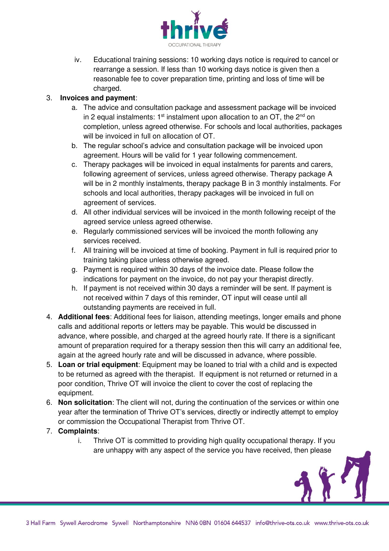

iv. Educational training sessions: 10 working days notice is required to cancel or rearrange a session. If less than 10 working days notice is given then a reasonable fee to cover preparation time, printing and loss of time will be charged.

# 3. **Invoices and payment**:

- a. The advice and consultation package and assessment package will be invoiced in 2 equal instalments:  $1<sup>st</sup>$  instalment upon allocation to an OT, the  $2<sup>nd</sup>$  on completion, unless agreed otherwise. For schools and local authorities, packages will be invoiced in full on allocation of OT.
- b. The regular school's advice and consultation package will be invoiced upon agreement. Hours will be valid for 1 year following commencement.
- c. Therapy packages will be invoiced in equal instalments for parents and carers, following agreement of services, unless agreed otherwise. Therapy package A will be in 2 monthly instalments, therapy package B in 3 monthly instalments. For schools and local authorities, therapy packages will be invoiced in full on agreement of services.
- d. All other individual services will be invoiced in the month following receipt of the agreed service unless agreed otherwise.
- e. Regularly commissioned services will be invoiced the month following any services received.
- f. All training will be invoiced at time of booking. Payment in full is required prior to training taking place unless otherwise agreed.
- g. Payment is required within 30 days of the invoice date. Please follow the indications for payment on the invoice, do not pay your therapist directly.
- h. If payment is not received within 30 days a reminder will be sent. If payment is not received within 7 days of this reminder, OT input will cease until all outstanding payments are received in full.
- 4. **Additional fees**: Additional fees for liaison, attending meetings, longer emails and phone calls and additional reports or letters may be payable. This would be discussed in advance, where possible, and charged at the agreed hourly rate. If there is a significant amount of preparation required for a therapy session then this will carry an additional fee, again at the agreed hourly rate and will be discussed in advance, where possible.
- 5. **Loan or trial equipment**: Equipment may be loaned to trial with a child and is expected to be returned as agreed with the therapist. If equipment is not returned or returned in a poor condition, Thrive OT will invoice the client to cover the cost of replacing the equipment.
- 6. **Non solicitation**: The client will not, during the continuation of the services or within one year after the termination of Thrive OT's services, directly or indirectly attempt to employ or commission the Occupational Therapist from Thrive OT.
- 7. **Complaints**:
	- i. Thrive OT is committed to providing high quality occupational therapy. If you are unhappy with any aspect of the service you have received, then please

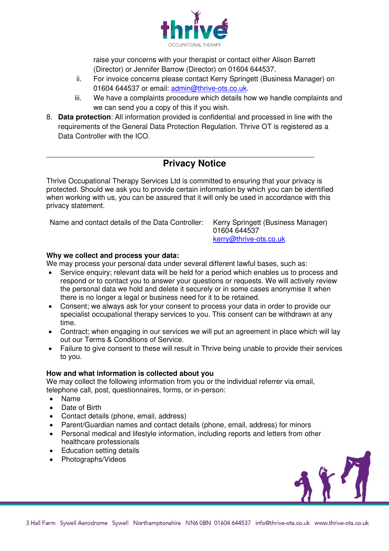

raise your concerns with your therapist or contact either Alison Barrett (Director) or Jennifer Barrow (Director) on 01604 644537.

- ii. For invoice concerns please contact Kerry Springett (Business Manager) on 01604 644537 or email: [admin@thrive-ots.co.uk.](mailto:admin@thrive-ots.co.uk)
- iii. We have a complaints procedure which details how we handle complaints and we can send you a copy of this if you wish.
- 8. **Data protection**: All information provided is confidential and processed in line with the requirements of the General Data Protection Regulation. Thrive OT is registered as a Data Controller with the ICO.

# \_\_\_\_\_\_\_\_\_\_\_\_\_\_\_\_\_\_\_\_\_\_\_\_\_\_\_\_\_\_\_\_\_\_\_\_\_\_\_\_\_\_\_\_\_\_\_\_\_\_\_\_\_\_\_\_\_\_\_\_\_\_\_\_\_\_\_ **Privacy Notice**

Thrive Occupational Therapy Services Ltd is committed to ensuring that your privacy is protected. Should we ask you to provide certain information by which you can be identified when working with us, you can be assured that it will only be used in accordance with this privacy statement.

Name and contact details of the Data Controller: Kerry Springett (Business Manager)

01604 644537 kerry@thrive-ots.co.uk

# **Why we collect and process your data:**

We may process your personal data under several different lawful bases, such as:

- Service enquiry; relevant data will be held for a period which enables us to process and respond or to contact you to answer your questions or requests. We will actively review the personal data we hold and delete it securely or in some cases anonymise it when there is no longer a legal or business need for it to be retained.
- Consent; we always ask for your consent to process your data in order to provide our specialist occupational therapy services to you. This consent can be withdrawn at any time.
- Contract; when engaging in our services we will put an agreement in place which will lay out our Terms & Conditions of Service.
- Failure to give consent to these will result in Thrive being unable to provide their services to you.

# **How and what information is collected about you**

We may collect the following information from you or the individual referrer via email, telephone call, post, questionnaires, forms, or in-person:

- Name
- Date of Birth
- Contact details (phone, email, address)
- Parent/Guardian names and contact details (phone, email, address) for minors
- Personal medical and lifestyle information, including reports and letters from other healthcare professionals
- Education setting details
- Photographs/Videos

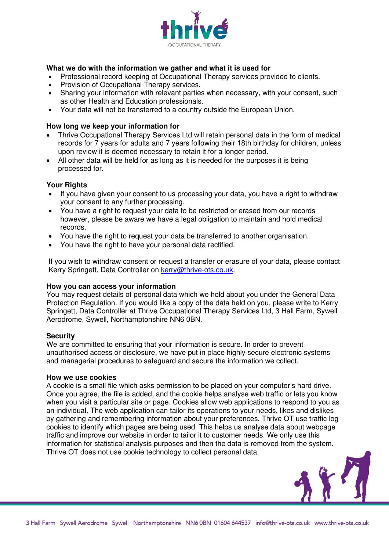

## **What we do with the information we gather and what it is used for**

- Professional record keeping of Occupational Therapy services provided to clients.
- Provision of Occupational Therapy services.
- Sharing your information with relevant parties when necessary, with your consent, such as other Health and Education professionals.
- Your data will not be transferred to a country outside the European Union.

#### **How long we keep your information for**

- Thrive Occupational Therapy Services Ltd will retain personal data in the form of medical records for 7 years for adults and 7 years following their 18th birthday for children, unless upon review it is deemed necessary to retain it for a longer period.
- All other data will be held for as long as it is needed for the purposes it is being processed for.

## **Your Rights**

- If you have given your consent to us processing your data, you have a right to withdraw your consent to any further processing.
- You have a right to request your data to be restricted or erased from our records however, please be aware we have a legal obligation to maintain and hold medical records.
- You have the right to request your data be transferred to another organisation.
- You have the right to have your personal data rectified.

If you wish to withdraw consent or request a transfer or erasure of your data, please contact Kerry Springett, Data Controller on [kerry@thrive-ots.co.](mailto:kerry@thrive-ots.co)uk.

#### **How you can access your information**

You may request details of personal data which we hold about you under the General Data Protection Regulation. If you would like a copy of the data held on you, please write to Kerry Springett, Data Controller at Thrive Occupational Therapy Services Ltd, 3 Hall Farm, Sywell Aerodrome, Sywell, Northamptonshire NN6 0BN.

#### **Security**

We are committed to ensuring that your information is secure. In order to prevent unauthorised access or disclosure, we have put in place highly secure electronic systems and managerial procedures to safeguard and secure the information we collect.

#### **How we use cookies**

A cookie is a small file which asks permission to be placed on your computer's hard drive. Once you agree, the file is added, and the cookie helps analyse web traffic or lets you know when you visit a particular site or page. Cookies allow web applications to respond to you as an individual. The web application can tailor its operations to your needs, likes and dislikes by gathering and remembering information about your preferences. Thrive OT use traffic log cookies to identify which pages are being used. This helps us analyse data about webpage traffic and improve our website in order to tailor it to customer needs. We only use this information for statistical analysis purposes and then the data is removed from the system. Thrive OT does not use cookie technology to collect personal data.

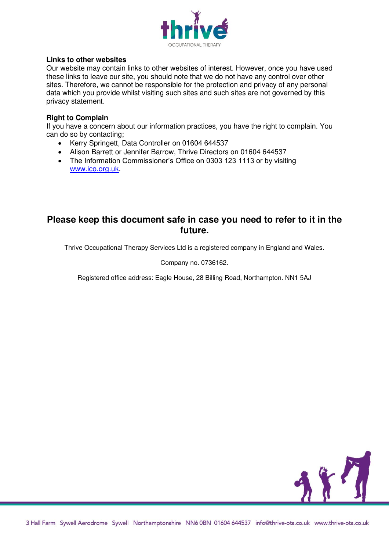

## **Links to other websites**

Our website may contain links to other websites of interest. However, once you have used these links to leave our site, you should note that we do not have any control over other sites. Therefore, we cannot be responsible for the protection and privacy of any personal data which you provide whilst visiting such sites and such sites are not governed by this privacy statement.

## **Right to Complain**

If you have a concern about our information practices, you have the right to complain. You can do so by contacting;

- Kerry Springett, Data Controller on 01604 644537
- Alison Barrett or Jennifer Barrow, Thrive Directors on 01604 644537
- The Information Commissioner's Office on 0303 123 1113 or by visiting [www.ico.org.uk.](http://www.ico.org.uk/)

# **Please keep this document safe in case you need to refer to it in the future.**

Thrive Occupational Therapy Services Ltd is a registered company in England and Wales.

Company no. 0736162.

Registered office address: Eagle House, 28 Billing Road, Northampton. NN1 5AJ